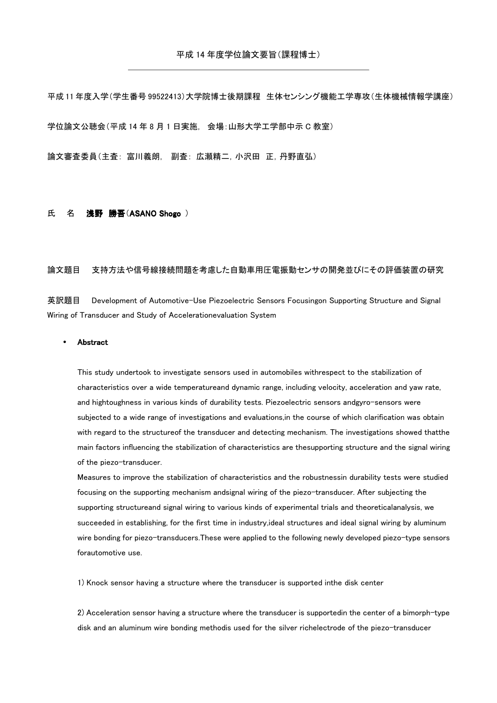平成 11 年度入学(学生番号 99522413)大学院博士後期課程 生体センシング機能工学専攻(生体機械情報学講座) 学位論文公聴会(平成 14 年 8 月 1 日実施, 会場:山形大学工学部中示 C 教室)

論文審査委員(主査: 富川義朗, 副査: 広瀬精二,小沢田 正,丹野直弘)

## 氏 名 浅野 勝吾(ASANO Shogo)

## 論文題目 支持方法や信号線接続問題を考慮した自動車用圧電振動センサの開発並びにその評価装置の研究

英訳題目 Development of Automotive-Use Piezoelectric Sensors Focusingon Supporting Structure and Signal Wiring of Transducer and Study of Accelerationevaluation System

## **Abstract**

This study undertook to investigate sensors used in automobiles withrespect to the stabilization of characteristics over a wide temperatureand dynamic range, including velocity, acceleration and yaw rate, and hightoughness in various kinds of durability tests. Piezoelectric sensors andgyro-sensors were subjected to a wide range of investigations and evaluations,in the course of which clarification was obtain with regard to the structureof the transducer and detecting mechanism. The investigations showed thatthe main factors influencing the stabilization of characteristics are thesupporting structure and the signal wiring of the piezo-transducer.

Measures to improve the stabilization of characteristics and the robustnessin durability tests were studied focusing on the supporting mechanism andsignal wiring of the piezo-transducer. After subjecting the supporting structureand signal wiring to various kinds of experimental trials and theoreticalanalysis, we succeeded in establishing, for the first time in industry,ideal structures and ideal signal wiring by aluminum wire bonding for piezo-transducers.These were applied to the following newly developed piezo-type sensors forautomotive use.

1) Knock sensor having a structure where the transducer is supported inthe disk center

2) Acceleration sensor having a structure where the transducer is supportedin the center of a bimorph-type disk and an aluminum wire bonding methodis used for the silver richelectrode of the piezo-transducer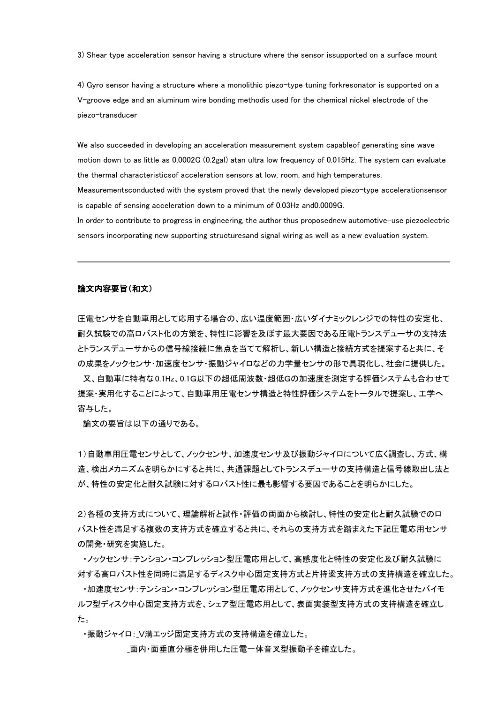3) Shear type acceleration sensor having a structure where the sensor issupported on a surface mount

4) Gyro sensor having a structure where a monolithic piezo-type tuning forkresonator is supported on a V-groove edge and an aluminum wire bonding methodis used for the chemical nickel electrode of the piezo-transducer

We also succeeded in developing an acceleration measurement system capableof generating sine wave motion down to as little as 0.0002G (0.2gal) atan ultra low frequency of 0.015Hz. The system can evaluate the thermal characteristicsof acceleration sensors at low, room, and high temperatures.

Measurementsconducted with the system proved that the newly developed piezo-type accelerationsensor is capable of sensing acceleration down to a minimum of 0.03Hz and0.0009G.

In order to contribute to progress in engineering, the author thus proposednew automotive-use piezoelectric sensors incorporating new supporting structuresand signal wiring as well as a new evaluation system.

## 論文内容要旨(和文)

圧電センサを自動車用として応用する場合の、広い温度範囲・広いダイナミックレンジでの特性の安定化、 耐久試験での高ロバスト化の方策を、特性に影響を及ぼす最大要因である圧電トランスデューサの支持法 とトランスデューサからの信号線接続に焦点を当てて解析し、新しい構造と接続方式を提案すると共に、そ の成果をノックセンサ・加速度センサ・振動ジャイロなどの力学量センサの形で具現化し、社会に提供した。

 又、自動車に特有な 0.1Hz、0.1G以下の超低周波数・超低Gの加速度を測定する評価システムも合わせて 提案・実用化することによって、自動車用圧電センサ構造と特性評価システムをトータルで提案し、工学へ 寄与した。

論文の要旨は以下の通りである。

1)自動車用圧電センサとして、ノックセンサ、加速度センサ及び振動ジャイロについて広く調査し、方式、構 造、検出メカニズムを明らかにすると共に、共通課題としてトランスデューサの支持構造と信号線取出し法と が、特性の安定化と耐久試験に対するロバスト性に最も影響する要因であることを明らかにした。

2)各種の支持方式について、理論解析と試作・評価の両面から検討し、特性の安定化と耐久試験でのロ バスト性を満足する複数の支持方式を確立すると共に、それらの支持方式を踏まえた下記圧電応用センサ の開発・研究を実施した。

 ・ノックセンサ:テンション・コンプレッション型圧電応用として、高感度化と特性の安定化及び耐久試験に 対する高ロバスト性を同時に満足するディスク中心固定支持方式と片持梁支持方式の支持構造を確立した。

 ・加速度センサ:テンション・コンプレッション型圧電応用として、ノックセンサ支持方式を進化させたバイモ ルフ型ディスク中心固定支持方式を、シェア型圧電応用として、表面実装型支持方式の支持構造を確立し た。

・振動ジャイロ:\_V溝エッジ固定支持方式の支持構造を確立した。

\_面内・面垂直分極を併用した圧電一体音叉型振動子を確立した。